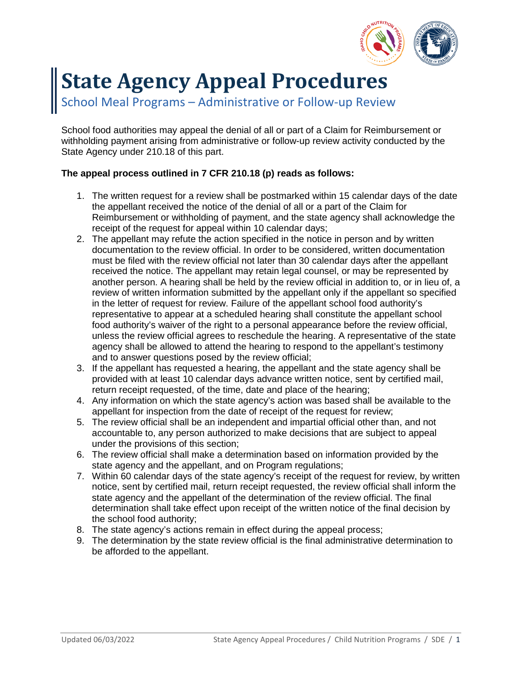

# **State Agency Appeal Procedures**

School Meal Programs – Administrative or Follow-up Review

School food authorities may appeal the denial of all or part of a Claim for Reimbursement or withholding payment arising from administrative or follow-up review activity conducted by the State Agency under 210.18 of this part.

## **The appeal process outlined in 7 CFR 210.18 (p) reads as follows:**

- 1. The written request for a review shall be postmarked within 15 calendar days of the date the appellant received the notice of the denial of all or a part of the Claim for Reimbursement or withholding of payment, and the state agency shall acknowledge the receipt of the request for appeal within 10 calendar days;
- 2. The appellant may refute the action specified in the notice in person and by written documentation to the review official. In order to be considered, written documentation must be filed with the review official not later than 30 calendar days after the appellant received the notice. The appellant may retain legal counsel, or may be represented by another person. A hearing shall be held by the review official in addition to, or in lieu of, a review of written information submitted by the appellant only if the appellant so specified in the letter of request for review. Failure of the appellant school food authority's representative to appear at a scheduled hearing shall constitute the appellant school food authority's waiver of the right to a personal appearance before the review official, unless the review official agrees to reschedule the hearing. A representative of the state agency shall be allowed to attend the hearing to respond to the appellant's testimony and to answer questions posed by the review official;
- 3. If the appellant has requested a hearing, the appellant and the state agency shall be provided with at least 10 calendar days advance written notice, sent by certified mail, return receipt requested, of the time, date and place of the hearing;
- 4. Any information on which the state agency's action was based shall be available to the appellant for inspection from the date of receipt of the request for review;
- 5. The review official shall be an independent and impartial official other than, and not accountable to, any person authorized to make decisions that are subject to appeal under the provisions of this section;
- 6. The review official shall make a determination based on information provided by the state agency and the appellant, and on Program regulations;
- 7. Within 60 calendar days of the state agency's receipt of the request for review, by written notice, sent by certified mail, return receipt requested, the review official shall inform the state agency and the appellant of the determination of the review official. The final determination shall take effect upon receipt of the written notice of the final decision by the school food authority;
- 8. The state agency's actions remain in effect during the appeal process;
- 9. The determination by the state review official is the final administrative determination to be afforded to the appellant.